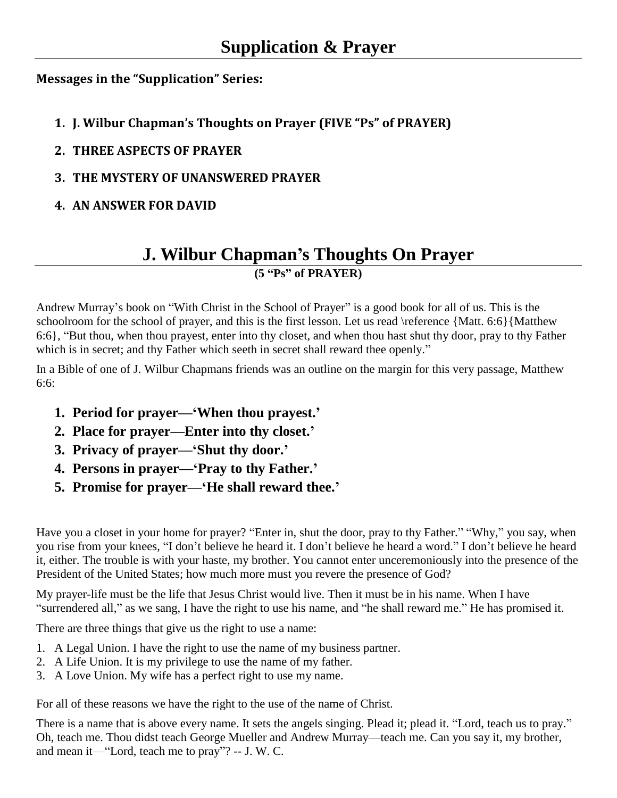#### **Messages in the "Supplication" Series:**

**1. J. Wilbur Chapman's Thoughts on Prayer (FIVE "Ps" of PRAYER)**

#### **2. THREE ASPECTS OF PRAYER**

- **3. THE MYSTERY OF UNANSWERED PRAYER**
- **4. AN ANSWER FOR DAVID**

### **J. Wilbur Chapman's Thoughts On Prayer (5 "Ps" of PRAYER)**

Andrew Murray's book on "With Christ in the School of Prayer" is a good book for all of us. This is the schoolroom for the school of prayer, and this is the first lesson. Let us read \reference {Matt. 6:6}{Matthew 6:6}, "But thou, when thou prayest, enter into thy closet, and when thou hast shut thy door, pray to thy Father which is in secret; and thy Father which seeth in secret shall reward thee openly."

In a Bible of one of J. Wilbur Chapmans friends was an outline on the margin for this very passage, Matthew 6:6:

- **1. Period for prayer—'When thou prayest.'**
- **2. Place for prayer—Enter into thy closet.'**
- **3. Privacy of prayer—'Shut thy door.'**
- **4. Persons in prayer—'Pray to thy Father.'**
- **5. Promise for prayer—'He shall reward thee.'**

Have you a closet in your home for prayer? "Enter in, shut the door, pray to thy Father." "Why," you say, when you rise from your knees, "I don't believe he heard it. I don't believe he heard a word." I don't believe he heard it, either. The trouble is with your haste, my brother. You cannot enter unceremoniously into the presence of the President of the United States; how much more must you revere the presence of God?

My prayer-life must be the life that Jesus Christ would live. Then it must be in his name. When I have "surrendered all," as we sang, I have the right to use his name, and "he shall reward me." He has promised it.

There are three things that give us the right to use a name:

- 1. A Legal Union. I have the right to use the name of my business partner.
- 2. A Life Union. It is my privilege to use the name of my father.
- 3. A Love Union. My wife has a perfect right to use my name.

For all of these reasons we have the right to the use of the name of Christ.

There is a name that is above every name. It sets the angels singing. Plead it; plead it. "Lord, teach us to pray." Oh, teach me. Thou didst teach George Mueller and Andrew Murray—teach me. Can you say it, my brother, and mean it—"Lord, teach me to pray"? -- J. W. C.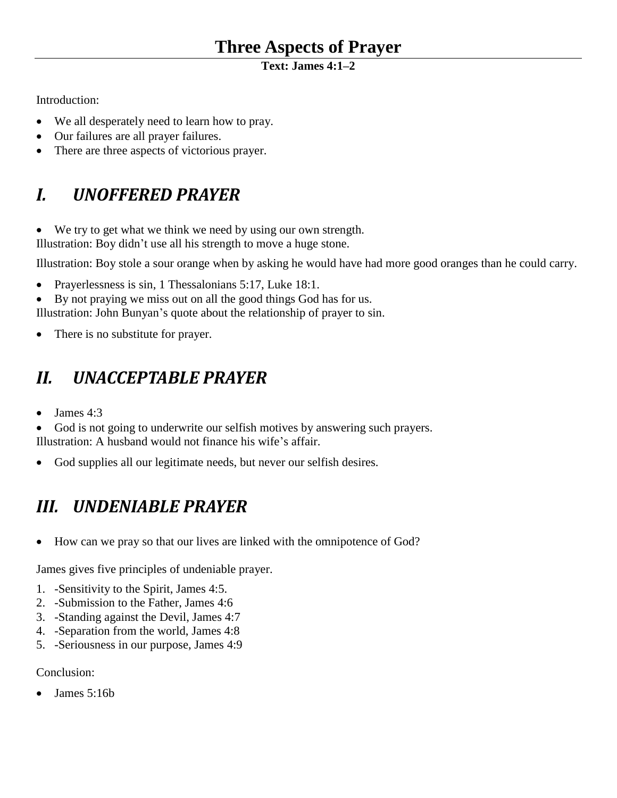## **Three Aspects of Prayer**

#### **Text: James 4:1–2**

Introduction:

- We all desperately need to learn how to pray.
- Our failures are all prayer failures.
- There are three aspects of victorious prayer.

# *I. UNOFFERED PRAYER*

We try to get what we think we need by using our own strength.

Illustration: Boy didn't use all his strength to move a huge stone.

Illustration: Boy stole a sour orange when by asking he would have had more good oranges than he could carry.

- Prayerlessness is sin, 1 Thessalonians 5:17, Luke 18:1.
- By not praying we miss out on all the good things God has for us.

Illustration: John Bunyan's quote about the relationship of prayer to sin.

• There is no substitute for prayer.

# *II. UNACCEPTABLE PRAYER*

 $\bullet$  James 4:3

 God is not going to underwrite our selfish motives by answering such prayers. Illustration: A husband would not finance his wife's affair.

God supplies all our legitimate needs, but never our selfish desires.

# *III. UNDENIABLE PRAYER*

• How can we pray so that our lives are linked with the omnipotence of God?

James gives five principles of undeniable prayer.

- 1. -Sensitivity to the Spirit, James 4:5.
- 2. -Submission to the Father, James 4:6
- 3. -Standing against the Devil, James 4:7
- 4. -Separation from the world, James 4:8
- 5. -Seriousness in our purpose, James 4:9

Conclusion:

James 5:16b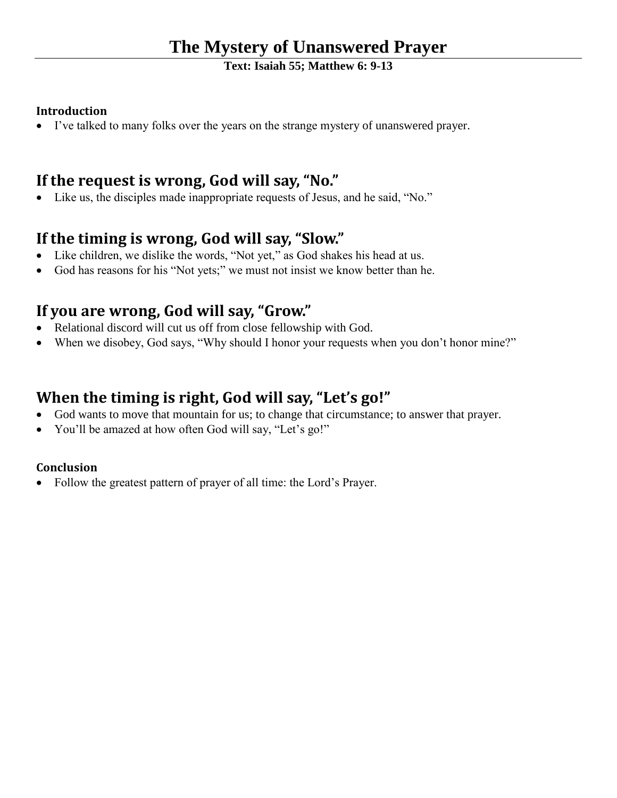## **The Mystery of Unanswered Prayer**

**Text: Isaiah 55; Matthew 6: 9-13**

#### **Introduction**

I've talked to many folks over the years on the strange mystery of unanswered prayer.

#### **If the request is wrong, God will say, "No."**

Like us, the disciples made inappropriate requests of Jesus, and he said, "No."

### **If the timing is wrong, God will say, "Slow."**

- Like children, we dislike the words, "Not yet," as God shakes his head at us.
- God has reasons for his "Not yets;" we must not insist we know better than he.

### **If you are wrong, God will say, "Grow."**

- Relational discord will cut us off from close fellowship with God.
- When we disobey, God says, "Why should I honor your requests when you don't honor mine?"

### **When the timing is right, God will say, "Let's go!"**

- God wants to move that mountain for us; to change that circumstance; to answer that prayer.
- You'll be amazed at how often God will say, "Let's go!"

#### **Conclusion**

Follow the greatest pattern of prayer of all time: the Lord's Prayer.